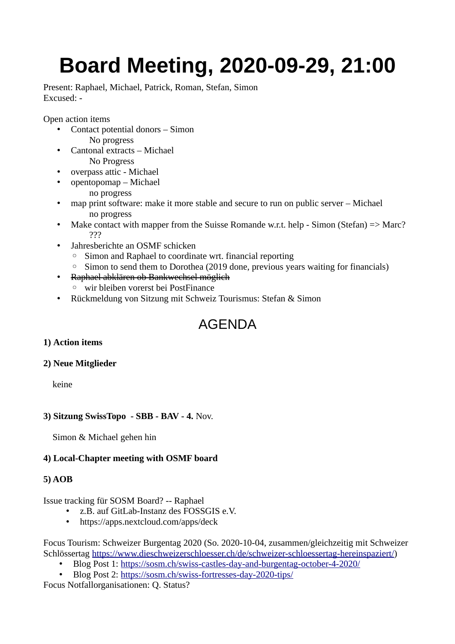# **Board Meeting, 2020-09-29, 21:00**

Present: Raphael, Michael, Patrick, Roman, Stefan, Simon Excused: -

Open action items

- Contact potential donors Simon No progress
- Cantonal extracts Michael No Progress
- overpass attic Michael
- opentopomap Michael
	- no progress
- map print software: make it more stable and secure to run on public server Michael no progress
- Make contact with mapper from the Suisse Romande w.r.t. help Simon (Stefan) => Marc? ???
- Jahresberichte an OSMF schicken
	- Simon and Raphael to coordinate wrt. financial reporting
	- Simon to send them to Dorothea (2019 done, previous years waiting for financials)
- Raphael abklären ob Bankwechsel möglich
	- wir bleiben vorerst bei PostFinance
- Rückmeldung von Sitzung mit Schweiz Tourismus: Stefan & Simon

# AGENDA

# **1) Action items**

#### **2) Neue Mitglieder**

keine

# **3) Sitzung SwissTopo - SBB - BAV - 4.** Nov.

Simon & Michael gehen hin

# **4) Local-Chapter meeting with OSMF board**

#### **5) AOB**

Issue tracking für SOSM Board? -- Raphael

- z.B. auf GitLab-Instanz des FOSSGIS e.V.
- https://apps.nextcloud.com/apps/deck

Focus Tourism: Schweizer Burgentag 2020 (So. 2020-10-04, zusammen/gleichzeitig mit Schweizer Schlössertag [https://www.dieschweizerschloesser.ch/de/schweizer-schloessertag-hereinspaziert/\)](https://www.dieschweizerschloesser.ch/de/schweizer-schloessertag-hereinspaziert/)

- Blog Post 1: <https://sosm.ch/swiss-castles-day-and-burgentag-october-4-2020/>
- Blog Post 2: <https://sosm.ch/swiss-fortresses-day-2020-tips/>

Focus Notfallorganisationen: Q. Status?